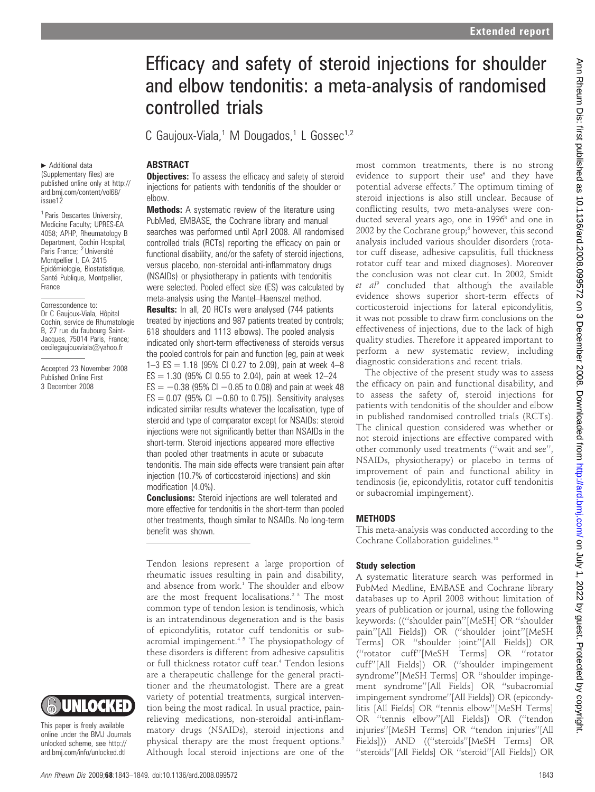# Efficacy and safety of steroid injections for shoulder and elbow tendonitis: a meta-analysis of randomised controlled trials

C Gaujoux-Viala,<sup>1</sup> M Dougados,<sup>1</sup> L Gossec<sup>1,2</sup>

## ABSTRACT

**Objectives:** To assess the efficacy and safety of steroid injections for patients with tendonitis of the shoulder or elbow.

**Methods:** A systematic review of the literature using PubMed, EMBASE, the Cochrane library and manual searches was performed until April 2008. All randomised controlled trials (RCTs) reporting the efficacy on pain or functional disability, and/or the safety of steroid injections, versus placebo, non-steroidal anti-inflammatory drugs (NSAIDs) or physiotherapy in patients with tendonitis were selected. Pooled effect size (ES) was calculated by meta-analysis using the Mantel–Haenszel method. Results: In all, 20 RCTs were analysed (744 patients treated by injections and 987 patients treated by controls; 618 shoulders and 1113 elbows). The pooled analysis indicated only short-term effectiveness of steroids versus the pooled controls for pain and function (eg, pain at week 1–3 ES = 1.18 (95% CI 0.27 to 2.09), pain at week 4–8  $ES = 1.30$  (95% CI 0.55 to 2.04), pain at week 12-24  $ES = -0.38$  (95% CI -0.85 to 0.08) and pain at week 48  $ES = 0.07$  (95% CI  $-0.60$  to 0.75)). Sensitivity analyses indicated similar results whatever the localisation, type of steroid and type of comparator except for NSAIDs: steroid injections were not significantly better than NSAIDs in the short-term. Steroid injections appeared more effective than pooled other treatments in acute or subacute tendonitis. The main side effects were transient pain after injection (10.7% of corticosteroid injections) and skin modification (4.0%).

**Conclusions:** Steroid injections are well tolerated and more effective for tendonitis in the short-term than pooled other treatments, though similar to NSAIDs. No long-term benefit was shown.

Tendon lesions represent a large proportion of rheumatic issues resulting in pain and disability, and absence from work.<sup>1</sup> The shoulder and elbow are the most frequent localisations.<sup>2 3</sup> The most common type of tendon lesion is tendinosis, which is an intratendinous degeneration and is the basis of epicondylitis, rotator cuff tendonitis or subacromial impingement.<sup>45</sup> The physiopathology of these disorders is different from adhesive capsulitis or full thickness rotator cuff tear.<sup>4</sup> Tendon lesions are a therapeutic challenge for the general practitioner and the rheumatologist. There are a great variety of potential treatments, surgical intervention being the most radical. In usual practice, painrelieving medications, non-steroidal anti-inflammatory drugs (NSAIDs), steroid injections and physical therapy are the most frequent options.<sup>2</sup> Although local steroid injections are one of the

most common treatments, there is no strong evidence to support their use $6$  and they have potential adverse effects.7 The optimum timing of steroid injections is also still unclear. Because of conflicting results, two meta-analyses were conducted several years ago, one in 1996<sup>8</sup> and one in 2002 by the Cochrane group;<sup>6</sup> however, this second analysis included various shoulder disorders (rotator cuff disease, adhesive capsulitis, full thickness rotator cuff tear and mixed diagnoses). Moreover the conclusion was not clear cut. In 2002, Smidt  $et$   $al<sup>9</sup>$  concluded that although the available evidence shows superior short-term effects of corticosteroid injections for lateral epicondylitis, it was not possible to draw firm conclusions on the effectiveness of injections, due to the lack of high quality studies. Therefore it appeared important to perform a new systematic review, including diagnostic considerations and recent trials.

The objective of the present study was to assess the efficacy on pain and functional disability, and to assess the safety of, steroid injections for patients with tendonitis of the shoulder and elbow in published randomised controlled trials (RCTs). The clinical question considered was whether or not steroid injections are effective compared with other commonly used treatments (''wait and see'', NSAIDs, physiotherapy) or placebo in terms of improvement of pain and functional ability in tendinosis (ie, epicondylitis, rotator cuff tendonitis or subacromial impingement).

# **METHODS**

This meta-analysis was conducted according to the Cochrane Collaboration guidelines.<sup>10</sup>

### Study selection

A systematic literature search was performed in PubMed Medline, EMBASE and Cochrane library databases up to April 2008 without limitation of years of publication or journal, using the following keywords: ((''shoulder pain''[MeSH] OR ''shoulder pain''[All Fields]) OR (''shoulder joint''[MeSH Terms] OR ''shoulder joint''[All Fields]) OR (''rotator cuff''[MeSH Terms] OR ''rotator cuff''[All Fields]) OR (''shoulder impingement syndrome''[MeSH Terms] OR ''shoulder impingement syndrome''[All Fields] OR ''subacromial impingement syndrome''[All Fields]) OR (epicondylitis [All Fields] OR ''tennis elbow''[MeSH Terms] OR ''tennis elbow''[All Fields]) OR (''tendon injuries''[MeSH Terms] OR ''tendon injuries''[All Fields])) AND ((''steroids''[MeSH Terms] OR ''steroids''[All Fields] OR ''steroid''[All Fields]) OR

 $\blacktriangleright$  Additional data (Supplementary files) are published online only at http:// ard.bmj.com/content/vol68/ issue12

<sup>1</sup> Paris Descartes University, Medicine Faculty; UPRES-EA 4058; APHP, Rheumatology B Department, Cochin Hospital, Paris France: <sup>2</sup> Université Montpellier I, EA 2415 Epidémiologie, Biostatistique, Santé Publique, Montpellier, France

Correspondence to: Dr C Gaujoux-Viala, Hôpital Cochin, service de Rhumatologie B, 27 rue du faubourg Saint-Jacques, 75014 Paris, France; cecilegaujouxviala@yahoo.fr

Accepted 23 November 2008 Published Online First 3 December 2008



This paper is freely available online under the BMJ Journals unlocked scheme, see http:// ard.bmj.com/info/unlocked.dtl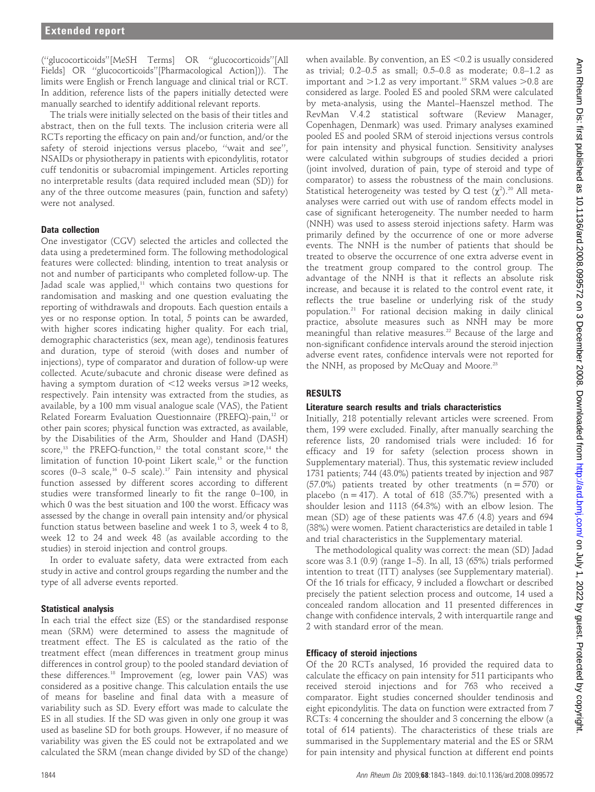(''glucocorticoids''[MeSH Terms] OR ''glucocorticoids''[All Fields] OR ''glucocorticoids''[Pharmacological Action])). The limits were English or French language and clinical trial or RCT. In addition, reference lists of the papers initially detected were manually searched to identify additional relevant reports.

The trials were initially selected on the basis of their titles and abstract, then on the full texts. The inclusion criteria were all RCTs reporting the efficacy on pain and/or function, and/or the safety of steroid injections versus placebo, ''wait and see'', NSAIDs or physiotherapy in patients with epicondylitis, rotator cuff tendonitis or subacromial impingement. Articles reporting no interpretable results (data required included mean (SD)) for any of the three outcome measures (pain, function and safety) were not analysed.

## Data collection

One investigator (CGV) selected the articles and collected the data using a predetermined form. The following methodological features were collected: blinding, intention to treat analysis or not and number of participants who completed follow-up. The Jadad scale was applied, $11$  which contains two questions for randomisation and masking and one question evaluating the reporting of withdrawals and dropouts. Each question entails a yes or no response option. In total, 5 points can be awarded, with higher scores indicating higher quality. For each trial, demographic characteristics (sex, mean age), tendinosis features and duration, type of steroid (with doses and number of injections), type of comparator and duration of follow-up were collected. Acute/subacute and chronic disease were defined as having a symptom duration of  $<$ 12 weeks versus  $\ge$ 12 weeks, respectively. Pain intensity was extracted from the studies, as available, by a 100 mm visual analogue scale (VAS), the Patient Related Forearm Evaluation Questionnaire (PREFQ)-pain,<sup>12</sup> or other pain scores; physical function was extracted, as available, by the Disabilities of the Arm, Shoulder and Hand (DASH) score,<sup>13</sup> the PREFQ-function,<sup>12</sup> the total constant score,<sup>14</sup> the limitation of function 10-point Likert scale,<sup>15</sup> or the function scores (0-3 scale, $16$  0-5 scale).<sup>17</sup> Pain intensity and physical function assessed by different scores according to different studies were transformed linearly to fit the range 0–100, in which 0 was the best situation and 100 the worst. Efficacy was assessed by the change in overall pain intensity and/or physical function status between baseline and week 1 to 3, week 4 to 8, week 12 to 24 and week 48 (as available according to the studies) in steroid injection and control groups.

In order to evaluate safety, data were extracted from each study in active and control groups regarding the number and the type of all adverse events reported.

#### Statistical analysis

In each trial the effect size (ES) or the standardised response mean (SRM) were determined to assess the magnitude of treatment effect. The ES is calculated as the ratio of the treatment effect (mean differences in treatment group minus differences in control group) to the pooled standard deviation of these differences.18 Improvement (eg, lower pain VAS) was considered as a positive change. This calculation entails the use of means for baseline and final data with a measure of variability such as SD. Every effort was made to calculate the ES in all studies. If the SD was given in only one group it was used as baseline SD for both groups. However, if no measure of variability was given the ES could not be extrapolated and we calculated the SRM (mean change divided by SD of the change)

when available. By convention, an  $ES < 0.2$  is usually considered as trivial; 0.2–0.5 as small; 0.5–0.8 as moderate; 0.8–1.2 as important and  $>1.2$  as very important.<sup>19</sup> SRM values  $>0.8$  are considered as large. Pooled ES and pooled SRM were calculated by meta-analysis, using the Mantel–Haenszel method. The RevMan V.4.2 statistical software (Review Manager, Copenhagen, Denmark) was used. Primary analyses examined pooled ES and pooled SRM of steroid injections versus controls for pain intensity and physical function. Sensitivity analyses were calculated within subgroups of studies decided a priori (joint involved, duration of pain, type of steroid and type of comparator) to assess the robustness of the main conclusions. Statistical heterogeneity was tested by Q test  $(\chi^2)$ .<sup>20</sup> All metaanalyses were carried out with use of random effects model in case of significant heterogeneity. The number needed to harm (NNH) was used to assess steroid injections safety. Harm was primarily defined by the occurrence of one or more adverse events. The NNH is the number of patients that should be treated to observe the occurrence of one extra adverse event in the treatment group compared to the control group. The advantage of the NNH is that it reflects an absolute risk increase, and because it is related to the control event rate, it reflects the true baseline or underlying risk of the study population.21 For rational decision making in daily clinical practice, absolute measures such as NNH may be more meaningful than relative measures.<sup>22</sup> Because of the large and non-significant confidence intervals around the steroid injection adverse event rates, confidence intervals were not reported for the NNH, as proposed by McQuay and Moore.<sup>23</sup>

# RESULTS

# Literature search results and trials characteristics

Initially, 218 potentially relevant articles were screened. From them, 199 were excluded. Finally, after manually searching the reference lists, 20 randomised trials were included: 16 for efficacy and 19 for safety (selection process shown in Supplementary material). Thus, this systematic review included 1731 patients; 744 (43.0%) patients treated by injection and 987  $(57.0\%)$  patients treated by other treatments  $(n = 570)$  or placebo ( $n = 417$ ). A total of 618 (35.7%) presented with a shoulder lesion and 1113 (64.3%) with an elbow lesion. The mean (SD) age of these patients was 47.6 (4.8) years and 694 (38%) were women. Patient characteristics are detailed in table 1 and trial characteristics in the Supplementary material.

The methodological quality was correct: the mean (SD) Jadad score was 3.1 (0.9) (range 1–5). In all, 13 (65%) trials performed intention to treat (ITT) analyses (see Supplementary material). Of the 16 trials for efficacy, 9 included a flowchart or described precisely the patient selection process and outcome, 14 used a concealed random allocation and 11 presented differences in change with confidence intervals, 2 with interquartile range and 2 with standard error of the mean.

#### Efficacy of steroid injections

Of the 20 RCTs analysed, 16 provided the required data to calculate the efficacy on pain intensity for 511 participants who received steroid injections and for 763 who received a comparator. Eight studies concerned shoulder tendinosis and eight epicondylitis. The data on function were extracted from 7 RCTs: 4 concerning the shoulder and 3 concerning the elbow (a total of 614 patients). The characteristics of these trials are summarised in the Supplementary material and the ES or SRM for pain intensity and physical function at different end points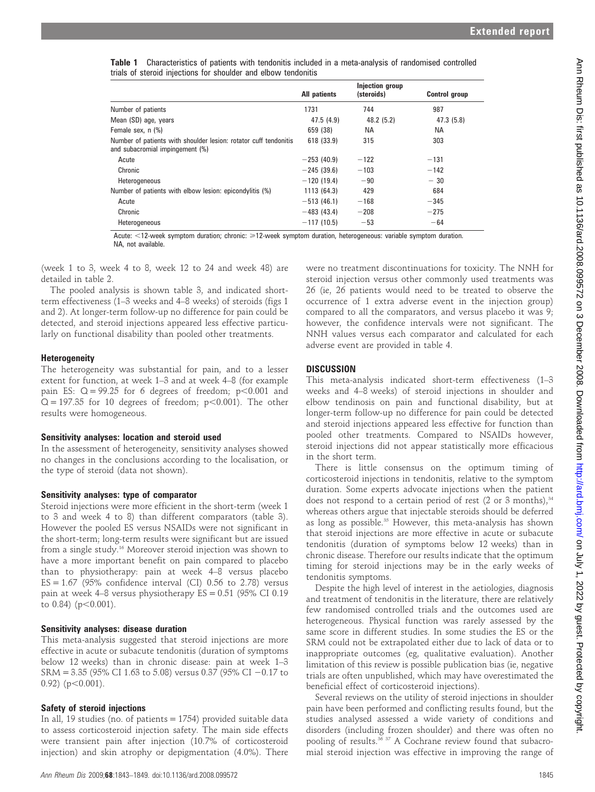| <b>Table 1</b> Characteristics of patients with tendonitis included in a meta-analysis of randomised controlled |  |  |  |
|-----------------------------------------------------------------------------------------------------------------|--|--|--|
| trials of steroid injections for shoulder and elbow tendonitis                                                  |  |  |  |

|                                                                                                     | <b>All patients</b> | <b>Injection group</b><br>(steroids) | <b>Control group</b> |
|-----------------------------------------------------------------------------------------------------|---------------------|--------------------------------------|----------------------|
| Number of patients                                                                                  | 1731                | 744                                  | 987                  |
| Mean (SD) age, years                                                                                | 47.5(4.9)           | 48.2 (5.2)                           | 47.3(5.8)            |
| Female sex. n (%)                                                                                   | 659 (38)            | NA.                                  | <b>NA</b>            |
| Number of patients with shoulder lesion: rotator cuff tendonitis<br>and subacromial impingement (%) | 618 (33.9)          | 315                                  | 303                  |
| Acute                                                                                               | $-253(40.9)$        | $-122$                               | $-131$               |
| Chronic                                                                                             | $-245(39.6)$        | $-103$                               | $-142$               |
| Heterogeneous                                                                                       | $-120(19.4)$        | $-90$                                | $-30$                |
| Number of patients with elbow lesion: epicondylitis (%)                                             | 1113 (64.3)         | 429                                  | 684                  |
| Acute                                                                                               | $-513(46.1)$        | $-168$                               | $-345$               |
| Chronic                                                                                             | $-483(43.4)$        | $-208$                               | $-275$               |
| Heterogeneous                                                                                       | $-117(10.5)$        | $-53$                                | $-64$                |

Acute: <12-week symptom duration; chronic: ≥12-week symptom duration, heterogeneous: variable symptom duration. NA, not available.

(week 1 to 3, week 4 to 8, week 12 to 24 and week 48) are detailed in table 2.

The pooled analysis is shown table 3, and indicated shortterm effectiveness (1–3 weeks and 4–8 weeks) of steroids (figs 1 and 2). At longer-term follow-up no difference for pain could be detected, and steroid injections appeared less effective particularly on functional disability than pooled other treatments.

## Heterogeneity

The heterogeneity was substantial for pain, and to a lesser extent for function, at week 1–3 and at week 4–8 (for example pain ES:  $Q = 99.25$  for 6 degrees of freedom;  $p < 0.001$  and  $Q = 197.35$  for 10 degrees of freedom;  $p < 0.001$ ). The other results were homogeneous.

#### Sensitivity analyses: location and steroid used

In the assessment of heterogeneity, sensitivity analyses showed no changes in the conclusions according to the localisation, or the type of steroid (data not shown).

# Sensitivity analyses: type of comparator

Steroid injections were more efficient in the short-term (week 1 to 3 and week 4 to 8) than different comparators (table 3). However the pooled ES versus NSAIDs were not significant in the short-term; long-term results were significant but are issued from a single study.16 Moreover steroid injection was shown to have a more important benefit on pain compared to placebo than to physiotherapy: pain at week 4–8 versus placebo ES = 1.67 (95% confidence interval (CI) 0.56 to 2.78) versus pain at week 4–8 versus physiotherapy  $ES = 0.51$  (95% CI 0.19) to  $0.84$ ) ( $p<0.001$ ).

# Sensitivity analyses: disease duration

This meta-analysis suggested that steroid injections are more effective in acute or subacute tendonitis (duration of symptoms below 12 weeks) than in chronic disease: pain at week 1–3  $SRM = 3.35$  (95% CI 1.63 to 5.08) versus 0.37 (95% CI -0.17 to  $0.92)$  (p $<0.001$ ).

# Safety of steroid injections

In all, 19 studies (no. of patients = 1754) provided suitable data to assess corticosteroid injection safety. The main side effects were transient pain after injection (10.7% of corticosteroid injection) and skin atrophy or depigmentation (4.0%). There

were no treatment discontinuations for toxicity. The NNH for steroid injection versus other commonly used treatments was 26 (ie, 26 patients would need to be treated to observe the occurrence of 1 extra adverse event in the injection group) compared to all the comparators, and versus placebo it was 9; however, the confidence intervals were not significant. The NNH values versus each comparator and calculated for each adverse event are provided in table 4.

# **DISCUSSION**

This meta-analysis indicated short-term effectiveness (1–3 weeks and 4–8 weeks) of steroid injections in shoulder and elbow tendinosis on pain and functional disability, but at longer-term follow-up no difference for pain could be detected and steroid injections appeared less effective for function than pooled other treatments. Compared to NSAIDs however, steroid injections did not appear statistically more efficacious in the short term.

There is little consensus on the optimum timing of corticosteroid injections in tendonitis, relative to the symptom duration. Some experts advocate injections when the patient does not respond to a certain period of rest  $(2 \text{ or } 3 \text{ months})$ ,<sup>34</sup> whereas others argue that injectable steroids should be deferred as long as possible.<sup>35</sup> However, this meta-analysis has shown that steroid injections are more effective in acute or subacute tendonitis (duration of symptoms below 12 weeks) than in chronic disease. Therefore our results indicate that the optimum timing for steroid injections may be in the early weeks of tendonitis symptoms.

Despite the high level of interest in the aetiologies, diagnosis and treatment of tendonitis in the literature, there are relatively few randomised controlled trials and the outcomes used are heterogeneous. Physical function was rarely assessed by the same score in different studies. In some studies the ES or the SRM could not be extrapolated either due to lack of data or to inappropriate outcomes (eg, qualitative evaluation). Another limitation of this review is possible publication bias (ie, negative trials are often unpublished, which may have overestimated the beneficial effect of corticosteroid injections).

Several reviews on the utility of steroid injections in shoulder pain have been performed and conflicting results found, but the studies analysed assessed a wide variety of conditions and disorders (including frozen shoulder) and there was often no pooling of results.<sup>36 37</sup> A Cochrane review found that subacromial steroid injection was effective in improving the range of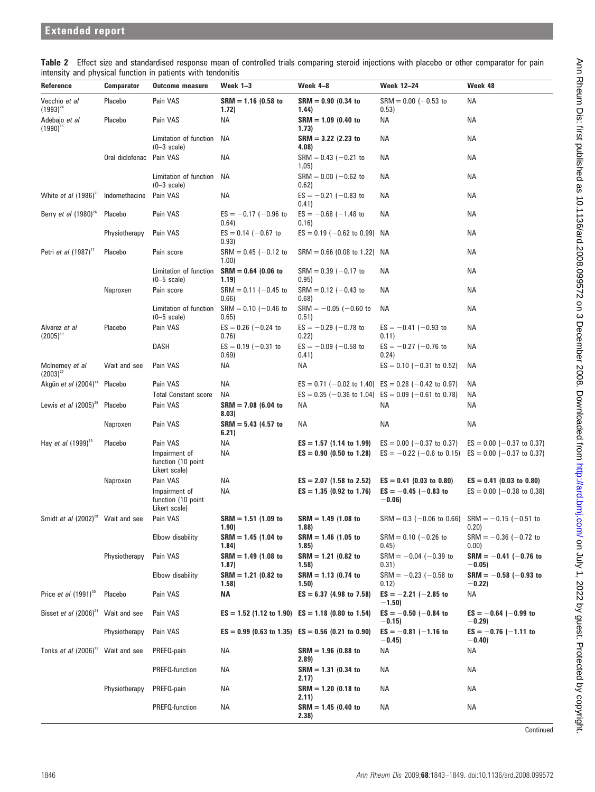| Reference                                     | Comparator      | <b>Outcome measure</b>                                | Week 1-3                        | Week 4-8                                              | Week 12–24                                                                                                         | Week 48                             |
|-----------------------------------------------|-----------------|-------------------------------------------------------|---------------------------------|-------------------------------------------------------|--------------------------------------------------------------------------------------------------------------------|-------------------------------------|
| Vecchio et al<br>$(1993)^{24}$                | Placebo         | Pain VAS                                              | $SRM = 1.16$ (0.58 to<br>1.72)  | $SRM = 0.90$ (0.34 to<br>1.44)                        | $SRM = 0.00$ (-0.53 to<br>0.53)                                                                                    | ΝA                                  |
| Adebajo et al<br>$(1990)^{16}$                | Placebo         | Pain VAS                                              | ΝA                              | $SRM = 1.09$ (0.40 to<br>(1.73)                       | ΝA                                                                                                                 | ΝA                                  |
|                                               |                 | Limitation of function<br>$(0-3 \text{ scale})$       | ΝA                              | $SRM = 3.22$ (2.23 to<br>4.08)                        | ΝA                                                                                                                 | NА                                  |
|                                               | Oral diclofenac | Pain VAS                                              | ΝA                              | $SRM = 0.43 (-0.21)$<br>1.05)                         | ΝA                                                                                                                 | ΝA                                  |
|                                               |                 | Limitation of function<br>$(0-3 \text{ scale})$       | ΝA                              | $SRM = 0.00$ (-0.62 to<br>0.62)                       | ΝA                                                                                                                 | ΝA                                  |
| White et al $(1986)^{25}$                     | Indomethacine   | Pain VAS                                              | ΝA                              | $ES = -0.21$ (-0.83 to<br>0.41)                       | ΝA                                                                                                                 | NА                                  |
| Berry et al $(1980)^{26}$                     | Placebo         | Pain VAS                                              | $ES = -0.17$ (-0.96 to<br>0.64) | $ES = -0.68$ (-1.48 to<br>0.16)                       | ΝA                                                                                                                 | ΝA                                  |
|                                               | Physiotherapy   | Pain VAS                                              | $ES = 0.14 (-0.67)$<br>0.93)    | $ES = 0.19 (-0.62 to 0.99)$                           | NA                                                                                                                 | ΝA                                  |
| Petri <i>et al</i> (1987) <sup>17</sup>       | Placebo         | Pain score                                            | $SRM = 0.45$ (-0.12 to<br>1.00) | $SRM = 0.66$ (0.08 to 1.22)                           | NA                                                                                                                 | ΝA                                  |
|                                               |                 | Limitation of function<br>$(0-5 \text{ scale})$       | $SRM = 0.64$ (0.06 to<br>(1.19) | $SRM = 0.39$ (-0.17 to<br>0.95)                       | ΝA                                                                                                                 | ΝA                                  |
|                                               | Naproxen        | Pain score                                            | $SRM = 0.11$ (-0.45 to<br>0.66) | $SRM = 0.12$ (-0.43 to<br>0.68)                       | ΝA                                                                                                                 | ΝA                                  |
|                                               |                 | Limitation of function<br>$(0-5 \text{ scale})$       | $SRM = 0.10$ (-0.46 to<br>0.65) | $SRM = -0.05$ (-0.60 to<br>0.51)                      | ΝA                                                                                                                 | ΝA                                  |
| Alvarez et al<br>$(2005)^{13}$                | Placebo         | Pain VAS                                              | $ES = 0.26$ (-0.24 to<br>0.76)  | $ES = -0.29$ (-0.78 to<br>0.22)                       | $ES = -0.41$ (-0.93 to<br>0.11)                                                                                    | ΝA                                  |
|                                               |                 | DASH                                                  | $ES = 0.19 (-0.31)$<br>0.69)    | $ES = -0.09$ (-0.58 to<br>0.41)                       | $ES = -0.27$ (-0.76 to<br>0.24)                                                                                    | ΝA                                  |
| McInerney et al<br>$(2003)^{27}$              | Wait and see    | Pain VAS                                              | ΝA                              | ΝA                                                    | $ES = 0.10 (-0.31$ to 0.52)                                                                                        | ΝA                                  |
| Akgün et al (2004) <sup>14</sup>              | Placebo         | Pain VAS<br><b>Total Constant score</b>               | ΝA<br>ΝA                        |                                                       | $ES = 0.71$ (-0.02 to 1.40) $ES = 0.28$ (-0.42 to 0.97)<br>$ES = 0.35$ (-0.36 to 1.04) $ES = 0.09$ (-0.61 to 0.78) | NА<br>ΝA                            |
| Lewis <i>et al</i> $(2005)^{28}$              | Placebo         | Pain VAS                                              | $SRM = 7.08$ (6.04 to<br>8.03)  | ΝA                                                    | ΝA                                                                                                                 | ΝA                                  |
|                                               | Naproxen        | Pain VAS                                              | $SRM = 5.43$ (4.57 to<br>6.21)  | ΝA                                                    | ΝA                                                                                                                 | ΝA                                  |
| Hay <i>et al</i> (1999) <sup>15</sup>         | Placebo         | Pain VAS                                              | ΝA                              | $ES = 1.57$ (1.14 to 1.99)                            | $ES = 0.00 (-0.37 \text{ to } 0.37)$                                                                               | $ES = 0.00$ (-0.37 to 0.37)         |
|                                               |                 | Impairment of<br>function (10 point)<br>Likert scale) | ΝA                              | $ES = 0.90$ (0.50 to 1.28)                            | $ES = -0.22$ (-0.6 to 0.15)                                                                                        | $ES = 0.00$ (-0.37 to 0.37)         |
|                                               | Naproxen        | Pain VAS                                              | ΝA                              | $ES = 2.07$ (1.58 to 2.52)                            | $ES = 0.41$ (0.03 to 0.80)                                                                                         | $ES = 0.41$ (0.03 to 0.80)          |
|                                               |                 | Impairment of<br>function (10 point<br>Likert scale)  | ΝA                              | $ES = 1.35$ (0.92 to 1.76)                            | $ES = -0.45$ (-0.83 to<br>$-0.06$                                                                                  | $ES = 0.00$ (-0.38 to 0.38)         |
| Smidt et al (2002) <sup>29</sup> Wait and see |                 | Pain VAS                                              | $SRM = 1.51$ (1.09 to<br>(1.90) | $SRM = 1.49$ (1.08 to<br>(1.88)                       | $SRM = 0.3$ (-0.06 to 0.66) $SRM = -0.15$ (-0.51 to                                                                | 0.20)                               |
|                                               |                 | Elbow disability                                      | $SRM = 1.45$ (1.04 to<br>1.84)  | $SRM = 1.46$ (1.05 to<br>(1.85)                       | $SRM = 0.10$ (-0.26 to<br>0.45)                                                                                    | $SRM = -0.36$ (-0.72 to<br>0.00)    |
|                                               | Physiotherapy   | Pain VAS                                              | $SRM = 1.49$ (1.08 to<br>1.87)  | $SRM = 1.21$ (0.82 to<br>(1.58)                       | $SRM = -0.04 (-0.39)$<br>0.31)                                                                                     | $SRM = -0.41$ (-0.76 to<br>$-0.05)$ |
|                                               |                 | Elbow disability                                      | $SRM = 1.21$ (0.82 to<br>(1.58) | $SRM = 1.13$ (0.74 to<br>(1.50)                       | $SRM = -0.23$ (-0.58 to<br>0.12)                                                                                   | $SRM = -0.58$ (-0.93 to<br>$-0.22)$ |
| Price et al $(1991)^{30}$                     | Placebo         | Pain VAS                                              | ΝA                              | $ES = 6.37$ (4.98 to 7.58)                            | $ES = -2.21$ (-2.85 to<br>$-1.50)$                                                                                 | ΝA                                  |
| Bisset et al $(2006)^{31}$                    | Wait and see    | Pain VAS                                              |                                 | $ES = 1.52$ (1.12 to 1.90) $ES = 1.18$ (0.80 to 1.54) | $ES = -0.50$ (-0.84 to<br>$-0.15)$                                                                                 | $ES = -0.64$ (-0.99 to<br>$-0.29)$  |
|                                               | Physiotherapy   | Pain VAS                                              |                                 | $ES = 0.99$ (0.63 to 1.35) $ES = 0.56$ (0.21 to 0.90) | $ES = -0.81$ (-1.16 to<br>$-0.45)$                                                                                 | $ES = -0.76$ (-1.11 to<br>$-0.40)$  |
| Tonks et al (2006) <sup>12</sup> Wait and see |                 | PREFQ-pain                                            | ΝA                              | $SRM = 1.96$ (0.88 to<br>(2.89)                       | ΝA                                                                                                                 | ΝA                                  |
|                                               |                 | PREFQ-function                                        | ΝA                              | $SRM = 1.31$ (0.34 to<br>2.17)                        | ΝA                                                                                                                 | ΝA                                  |
|                                               | Physiotherapy   | PREFQ-pain                                            | ΝA                              | $SRM = 1.20$ (0.18 to<br>2.11)                        | ΝA                                                                                                                 | ΝA                                  |
|                                               |                 | PREFQ-function                                        | ΝA                              | $SRM = 1.45$ (0.40 to<br>2.38)                        | ΝA                                                                                                                 | ΝA                                  |

Table 2 Effect size and standardised response mean of controlled trials comparing steroid injections with placebo or other comparator for pain intensity and physical function in patients with tendonitis

**Continued**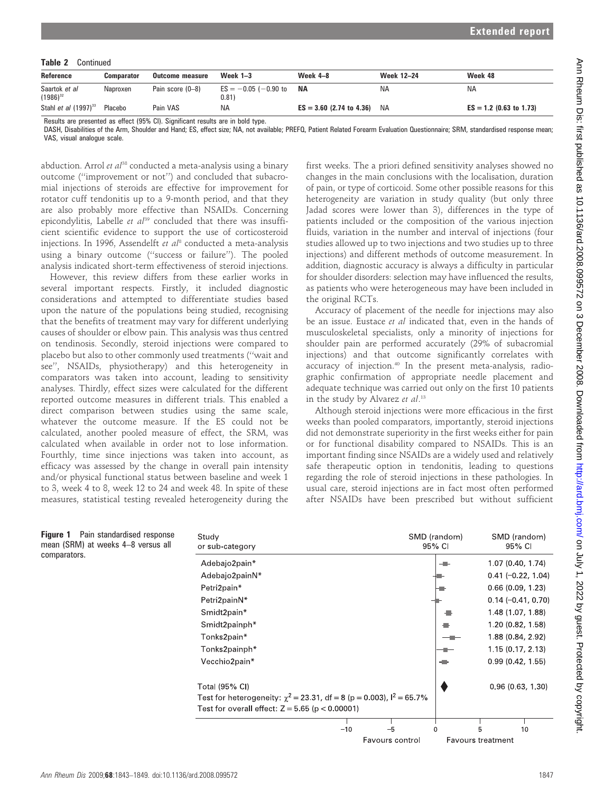Table 2 Continued

| Reference                               | <b>Comparator</b> | <b>Outcome measure</b> | Week $1-3$                      | Week 4–8                   | Week 12-24 | Week 48                   |
|-----------------------------------------|-------------------|------------------------|---------------------------------|----------------------------|------------|---------------------------|
| Saartok et al<br>$(1986)^{32}$          | Naproxen          | Pain score (0-8)       | $ES = -0.05$ (-0.90 to<br>0.81) | ΝA                         | <b>NA</b>  | <b>NA</b>                 |
| Stahl <i>et al</i> (1997) <sup>33</sup> | Placebo           | Pain VAS               | <b>NA</b>                       | $ES = 3.60$ (2.74 to 4.36) | NA         | $ES = 1.2$ (0.63 to 1.73) |

Results are presented as effect (95% CI). Significant results are in bold type.

DASH, Disabilities of the Arm, Shoulder and Hand; ES, effect size; NA, not available; PREFQ, Patient Related Forearm Evaluation Questionnaire; SRM, standardised response mean; VAS, visual analogue scale.

abduction. Arrol et  $a^{138}$  conducted a meta-analysis using a binary outcome (''improvement or not'') and concluded that subacromial injections of steroids are effective for improvement for rotator cuff tendonitis up to a 9-month period, and that they are also probably more effective than NSAIDs. Concerning epicondylitis, Labelle et  $a^{39}$  concluded that there was insufficient scientific evidence to support the use of corticosteroid injections. In 1996, Assendelft et  $al^8$  conducted a meta-analysis using a binary outcome (''success or failure''). The pooled analysis indicated short-term effectiveness of steroid injections.

However, this review differs from these earlier works in several important respects. Firstly, it included diagnostic considerations and attempted to differentiate studies based upon the nature of the populations being studied, recognising that the benefits of treatment may vary for different underlying causes of shoulder or elbow pain. This analysis was thus centred on tendinosis. Secondly, steroid injections were compared to placebo but also to other commonly used treatments (''wait and see'', NSAIDs, physiotherapy) and this heterogeneity in comparators was taken into account, leading to sensitivity analyses. Thirdly, effect sizes were calculated for the different reported outcome measures in different trials. This enabled a direct comparison between studies using the same scale, whatever the outcome measure. If the ES could not be calculated, another pooled measure of effect, the SRM, was calculated when available in order not to lose information. Fourthly, time since injections was taken into account, as efficacy was assessed by the change in overall pain intensity and/or physical functional status between baseline and week 1 to 3, week 4 to 8, week 12 to 24 and week 48. In spite of these measures, statistical testing revealed heterogeneity during the

first weeks. The a priori defined sensitivity analyses showed no changes in the main conclusions with the localisation, duration of pain, or type of corticoid. Some other possible reasons for this heterogeneity are variation in study quality (but only three Jadad scores were lower than 3), differences in the type of patients included or the composition of the various injection fluids, variation in the number and interval of injections (four studies allowed up to two injections and two studies up to three injections) and different methods of outcome measurement. In addition, diagnostic accuracy is always a difficulty in particular for shoulder disorders: selection may have influenced the results, as patients who were heterogeneous may have been included in the original RCTs.

Accuracy of placement of the needle for injections may also be an issue. Eustace et al indicated that, even in the hands of musculoskeletal specialists, only a minority of injections for shoulder pain are performed accurately (29% of subacromial injections) and that outcome significantly correlates with accuracy of injection.<sup>40</sup> In the present meta-analysis, radiographic confirmation of appropriate needle placement and adequate technique was carried out only on the first 10 patients in the study by Alvarez et al.<sup>13</sup>

Although steroid injections were more efficacious in the first weeks than pooled comparators, importantly, steroid injections did not demonstrate superiority in the first weeks either for pain or for functional disability compared to NSAIDs. This is an important finding since NSAIDs are a widely used and relatively safe therapeutic option in tendonitis, leading to questions regarding the role of steroid injections in these pathologies. In usual care, steroid injections are in fact most often performed after NSAIDs have been prescribed but without sufficient

| Pain standardised response<br>Figure 1<br>mean (SRM) at weeks 4-8 versus all | Study<br>or sub-category                                                    | SMD (random)<br>95% CI  | SMD (random)<br>95% CI         |
|------------------------------------------------------------------------------|-----------------------------------------------------------------------------|-------------------------|--------------------------------|
| comparators.                                                                 | Adebajo2pain*                                                               |                         | 1.07 (0.40, 1.74)              |
|                                                                              | Adebajo2painN*                                                              |                         | $0.41 (-0.22, 1.04)$           |
|                                                                              | Petri2pain*                                                                 |                         | 0.66(0.09, 1.23)               |
|                                                                              | Petri2painN*                                                                |                         | $0.14 (-0.41, 0.70)$           |
|                                                                              | Smidt2pain*                                                                 |                         | 1.48 (1.07, 1.88)              |
|                                                                              | Smidt2painph*                                                               |                         | 1.20 (0.82, 1.58)              |
|                                                                              | Tonks2pain*                                                                 |                         | 1.88 (0.84, 2.92)              |
|                                                                              | Tonks2painph*                                                               |                         | 1.15 (0.17, 2.13)              |
|                                                                              | Vecchio2pain*                                                               |                         | 0.99(0.42, 1.55)               |
|                                                                              | Total (95% CI)                                                              |                         | 0.96(0.63, 1.30)               |
|                                                                              | Test for heterogeneity: $\chi^2$ = 23.31, df = 8 (p = 0.003), $I^2$ = 65.7% |                         |                                |
|                                                                              | Test for overall effect: $Z = 5.65$ ( $p < 0.00001$ )                       |                         |                                |
|                                                                              |                                                                             |                         |                                |
|                                                                              | $-10$                                                                       | $-5$<br>Favours control | 10<br><b>Favours treatment</b> |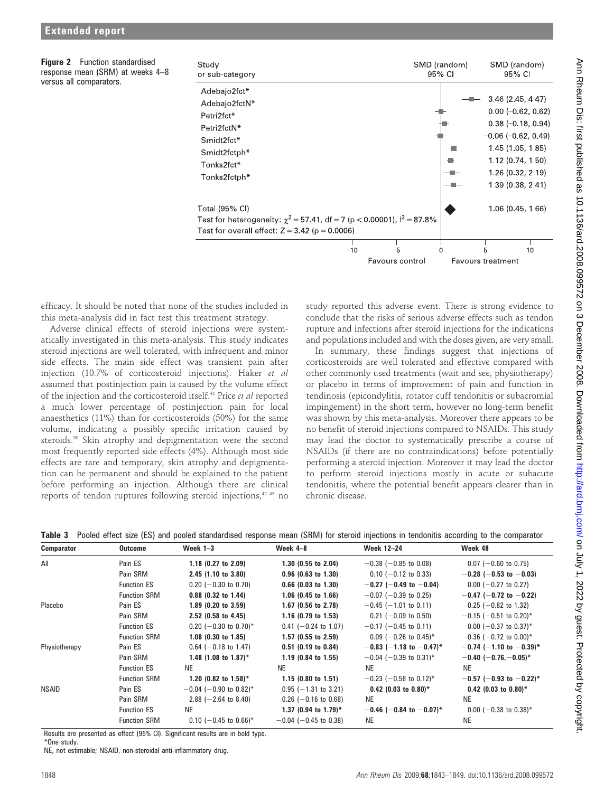Figure 2 Function standardised response mean (SRM) at weeks 4–8 versus all comparators.



efficacy. It should be noted that none of the studies included in this meta-analysis did in fact test this treatment strategy.

Adverse clinical effects of steroid injections were systematically investigated in this meta-analysis. This study indicates steroid injections are well tolerated, with infrequent and minor side effects. The main side effect was transient pain after injection (10.7% of corticosteroid injections). Haker et al assumed that postinjection pain is caused by the volume effect of the injection and the corticosteroid itself.<sup>41</sup> Price et al reported a much lower percentage of postinjection pain for local anaesthetics (11%) than for corticosteroids (50%) for the same volume, indicating a possibly specific irritation caused by steroids.<sup>30</sup> Skin atrophy and depigmentation were the second most frequently reported side effects (4%). Although most side effects are rare and temporary, skin atrophy and depigmentation can be permanent and should be explained to the patient before performing an injection. Although there are clinical reports of tendon ruptures following steroid injections,<sup>42 43</sup> no study reported this adverse event. There is strong evidence to conclude that the risks of serious adverse effects such as tendon rupture and infections after steroid injections for the indications and populations included and with the doses given, are very small.

In summary, these findings suggest that injections of corticosteroids are well tolerated and effective compared with other commonly used treatments (wait and see, physiotherapy) or placebo in terms of improvement of pain and function in tendinosis (epicondylitis, rotator cuff tendonitis or subacromial impingement) in the short term, however no long-term benefit was shown by this meta-analysis. Moreover there appears to be no benefit of steroid injections compared to NSAIDs. This study may lead the doctor to systematically prescribe a course of NSAIDs (if there are no contraindications) before potentially performing a steroid injection. Moreover it may lead the doctor to perform steroid injections mostly in acute or subacute tendonitis, where the potential benefit appears clearer than in chronic disease.

|  |  |  |  | Table 3 Pooled effect size (ES) and pooled standardised response mean (SRM) for steroid injections in tendonitis according to the comparator |  |
|--|--|--|--|----------------------------------------------------------------------------------------------------------------------------------------------|--|
|--|--|--|--|----------------------------------------------------------------------------------------------------------------------------------------------|--|

| <b>Comparator</b> | <b>Outcome</b>      | Week $1-3$                       | Week $4-8$                     | <b>Week 12-24</b>                    | Week 48                             |
|-------------------|---------------------|----------------------------------|--------------------------------|--------------------------------------|-------------------------------------|
| All               | Pain ES             | 1.18 $(0.27$ to 2.09)            | $1.30$ (0.55 to 2.04)          | $-0.38$ ( $-0.85$ to 0.08)           | $0.07$ (-0.60 to 0.75)              |
|                   | Pain SRM            | 2.45 (1.10 to 3.80)              | $0.96$ (0.63 to 1.30)          | $0.10$ (-0.12 to 0.33)               | $-0.28$ (-0.53 to -0.03)            |
|                   | <b>Function ES</b>  | $0.20$ (-0.30 to 0.70)           | $0.66$ (0.03 to 1.30)          | $-0.27$ (-0.49 to -0.04)             | $0.00$ (-0.27 to 0.27)              |
|                   | <b>Function SRM</b> | $0.88$ (0.32 to 1.44)            | $1.06$ (0.45 to 1.66)          | $-0.07$ ( $-0.39$ to 0.25)           | $-0.47$ (-0.72 to -0.22)            |
| Placebo           | Pain ES             | $1.89$ (0.20 to 3.59)            | 1.67 (0.56 to 2.78)            | $-0.45$ ( $-1.01$ to 0.11)           | $0.25$ (-0.82 to 1.32)              |
|                   | Pain SRM            | $2.52$ (0.58 to 4.45)            | 1.16 $(0.79$ to 1.53)          | $0.21$ (-0.09 to 0.50)               | $-0.15$ (-0.51 to 0.20)*            |
|                   | <b>Function ES</b>  | 0.20 ( $-0.30$ to 0.70)*         | $0.41$ (-0.24 to 1.07)         | $-0.17$ ( $-0.45$ to 0.11)           | $0.00$ (-0.37 to 0.37) <sup>*</sup> |
|                   | <b>Function SRM</b> | $1.08$ (0.30 to 1.85)            | $1.57$ (0.55 to 2.59)          | $0.09$ (-0.26 to 0.45)*              | $-0.36$ ( $-0.72$ to 0.00)*         |
| Physiotherapy     | Pain ES             | $0.64$ (-0.18 to 1.47)           | $0.51$ (0.19 to 0.84)          | $-0.83$ (-1.18 to -0.47)*            | $-0.74$ (-1.10 to $-0.39$ )*        |
|                   | Pain SRM            | 1.48 $(1.08 \text{ to } 1.87)^*$ | $1.19$ (0.84 to 1.55)          | $-0.04$ (-0.39 to 0.31)*             | $-0.40$ (-0.76, -0.05)*             |
|                   | <b>Function ES</b>  | <b>NE</b>                        | <b>NE</b>                      | <b>NE</b>                            | <b>NE</b>                           |
|                   | <b>Function SRM</b> | 1.20 (0.82 to $1.58$ )*          | 1.15 $(0.80 \text{ to } 1.51)$ | $-0.23$ (-0.58 to 0.12) <sup>*</sup> | $-0.57$ (-0.93 to -0.22)*           |
| NSAID             | Pain ES             | $-0.04$ (-0.90 to 0.82)*         | $0.95$ (-1.31 to 3.21)         | $0.42$ (0.03 to 0.80)*               | $0.42$ (0.03 to 0.80)*              |
|                   | Pain SRM            | 2.88 $(-2.64 \text{ to } 8.40)$  | $0.26$ (-0.16 to 0.68)         | <b>NE</b>                            | <b>NE</b>                           |
|                   | <b>Function ES</b>  | <b>NE</b>                        | 1.37 (0.94 to 1.79)*           | $-0.46$ (-0.84 to -0.07)*            | $0.00$ (-0.38 to 0.38)*             |
|                   | <b>Function SRM</b> | $0.10$ (-0.45 to 0.66)*          | $-0.04$ ( $-0.45$ to 0.38)     | <b>NE</b>                            | <b>NE</b>                           |

Results are presented as effect (95% CI). Significant results are in bold type.

\*One study.

NE, not estimable; NSAID, non-steroidal anti-inflammatory drug.